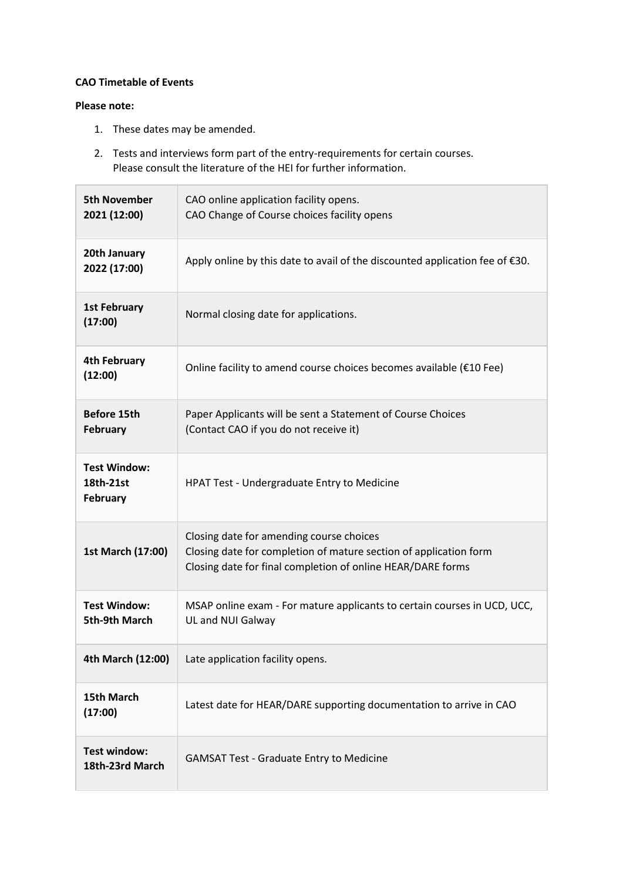## **CAO Timetable of Events**

## **Please note:**

- 1. These dates may be amended.
- 2. Tests and interviews form part of the entry-requirements for certain courses. Please consult the literature of the HEI for further information.

| <b>5th November</b><br>2021 (12:00)                 | CAO online application facility opens.<br>CAO Change of Course choices facility opens                                                                                        |
|-----------------------------------------------------|------------------------------------------------------------------------------------------------------------------------------------------------------------------------------|
| 20th January<br>2022 (17:00)                        | Apply online by this date to avail of the discounted application fee of €30.                                                                                                 |
| <b>1st February</b><br>(17:00)                      | Normal closing date for applications.                                                                                                                                        |
| <b>4th February</b><br>(12:00)                      | Online facility to amend course choices becomes available (€10 Fee)                                                                                                          |
| <b>Before 15th</b><br><b>February</b>               | Paper Applicants will be sent a Statement of Course Choices<br>(Contact CAO if you do not receive it)                                                                        |
| <b>Test Window:</b><br>18th-21st<br><b>February</b> | HPAT Test - Undergraduate Entry to Medicine                                                                                                                                  |
| 1st March (17:00)                                   | Closing date for amending course choices<br>Closing date for completion of mature section of application form<br>Closing date for final completion of online HEAR/DARE forms |
| <b>Test Window:</b><br>5th-9th March                | MSAP online exam - For mature applicants to certain courses in UCD, UCC,<br>UL and NUI Galway                                                                                |
| 4th March (12:00)                                   | Late application facility opens.                                                                                                                                             |
| 15th March<br>(17:00)                               | Latest date for HEAR/DARE supporting documentation to arrive in CAO                                                                                                          |
| <b>Test window:</b><br>18th-23rd March              | <b>GAMSAT Test - Graduate Entry to Medicine</b>                                                                                                                              |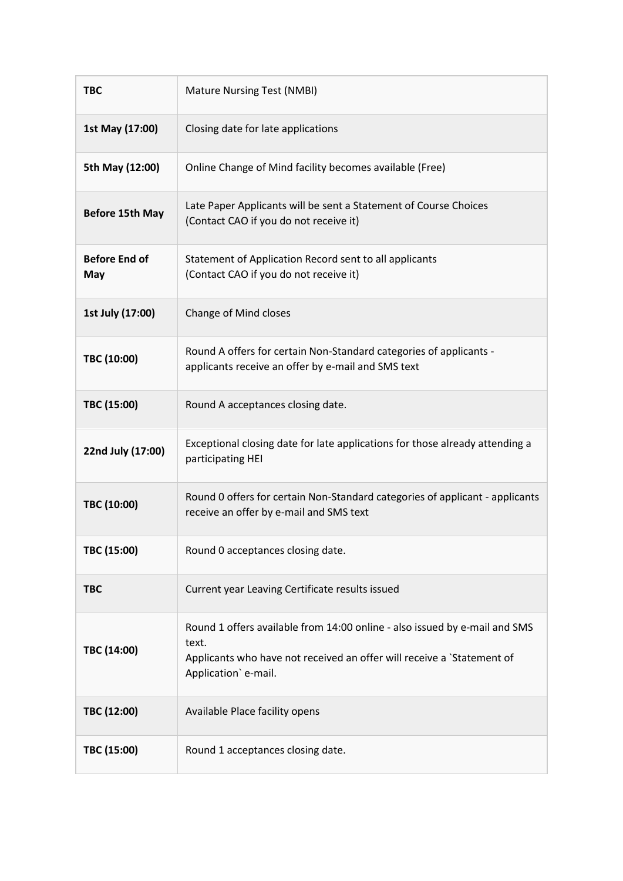| <b>TBC</b>                  | <b>Mature Nursing Test (NMBI)</b>                                                                                                                                                     |
|-----------------------------|---------------------------------------------------------------------------------------------------------------------------------------------------------------------------------------|
| 1st May (17:00)             | Closing date for late applications                                                                                                                                                    |
| 5th May (12:00)             | Online Change of Mind facility becomes available (Free)                                                                                                                               |
| <b>Before 15th May</b>      | Late Paper Applicants will be sent a Statement of Course Choices<br>(Contact CAO if you do not receive it)                                                                            |
| <b>Before End of</b><br>May | Statement of Application Record sent to all applicants<br>(Contact CAO if you do not receive it)                                                                                      |
| 1st July (17:00)            | Change of Mind closes                                                                                                                                                                 |
| TBC (10:00)                 | Round A offers for certain Non-Standard categories of applicants -<br>applicants receive an offer by e-mail and SMS text                                                              |
| TBC (15:00)                 | Round A acceptances closing date.                                                                                                                                                     |
| 22nd July (17:00)           | Exceptional closing date for late applications for those already attending a<br>participating HEI                                                                                     |
| TBC (10:00)                 | Round 0 offers for certain Non-Standard categories of applicant - applicants<br>receive an offer by e-mail and SMS text                                                               |
| TBC (15:00)                 | Round 0 acceptances closing date.                                                                                                                                                     |
| <b>TBC</b>                  | Current year Leaving Certificate results issued                                                                                                                                       |
| TBC (14:00)                 | Round 1 offers available from 14:00 online - also issued by e-mail and SMS<br>text.<br>Applicants who have not received an offer will receive a `Statement of<br>Application' e-mail. |
| TBC (12:00)                 | Available Place facility opens                                                                                                                                                        |
| TBC (15:00)                 | Round 1 acceptances closing date.                                                                                                                                                     |